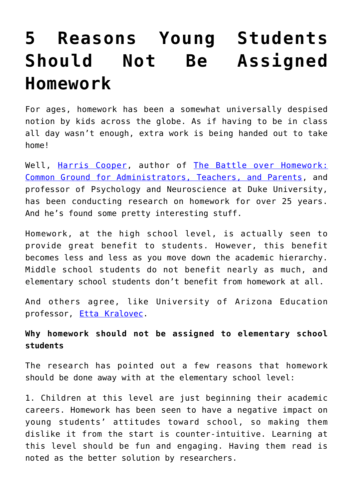## **[5 Reasons Young Students](https://intellectualtakeout.org/2016/08/5-reasons-young-students-should-not-be-assigned-homework/) [Should Not Be Assigned](https://intellectualtakeout.org/2016/08/5-reasons-young-students-should-not-be-assigned-homework/) [Homework](https://intellectualtakeout.org/2016/08/5-reasons-young-students-should-not-be-assigned-homework/)**

For ages, homework has been a somewhat universally despised notion by kids across the globe. As if having to be in class all day wasn't enough, extra work is being handed out to take home!

Well, [Harris Cooper](http://psychandneuro.duke.edu/people?Uil=cooperh&subpage=profile), author of [The Battle over Homework:](http://amzn.to/2bs2eTT) [Common Ground for Administrators, Teachers, and Parents](http://amzn.to/2bs2eTT), and professor of Psychology and Neuroscience at Duke University, has been conducting research on homework for over 25 years. And he's found some pretty interesting stuff.

Homework, at the high school level, is actually seen to provide great benefit to students. However, this benefit becomes less and less as you move down the academic hierarchy. Middle school students do not benefit nearly as much, and elementary school students don't benefit from homework at all.

And others agree, like University of Arizona Education professor, [Etta Kralovec.](http://www.salon.com/2016/03/05/homework_is_wrecking_our_kids_the_research_is_clear_lets_ban_elementary_homework/)

## **Why homework should not be assigned to elementary school students**

The research has pointed out a few reasons that homework should be done away with at the elementary school level:

1. Children at this level are just beginning their academic careers. Homework has been seen to have a negative impact on young students' attitudes toward school, so making them dislike it from the start is counter-intuitive. Learning at this level should be fun and engaging. Having them read is noted as the better solution by researchers.